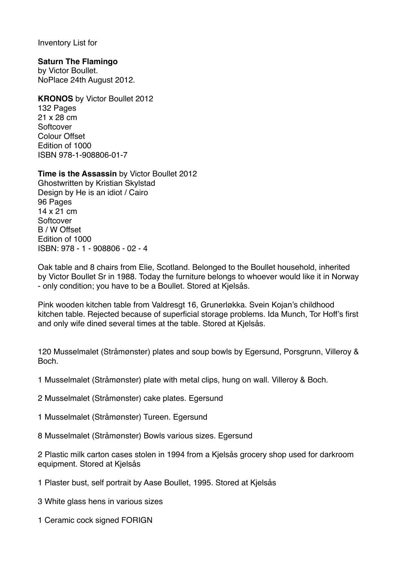Inventory List for

## **Saturn The Flamingo**

by Victor Boullet. NoPlace 24th August 2012.

**KRONOS** by Victor Boullet 2012 132 Pages 21 x 28 cm **Softcover** Colour Offset Edition of 1000 ISBN 978-1-908806-01-7

## **Time is the Assassin** by Victor Boullet 2012

Ghostwritten by Kristian Skylstad Design by He is an idiot / Cairo 96 Pages 14 x 21 cm **Softcover** B / W Offset Edition of 1000 ISBN: 978 - 1 - 908806 - 02 - 4

Oak table and 8 chairs from Elie, Scotland. Belonged to the Boullet household, inherited by Victor Boullet Sr in 1988. Today the furniture belongs to whoever would like it in Norway - only condition; you have to be a Boullet. Stored at Kjelsås.

Pink wooden kitchen table from Valdresgt 16, Grunerløkka. Svein Kojan's childhood kitchen table. Rejected because of superficial storage problems. Ida Munch, Tor Hoff's first and only wife dined several times at the table. Stored at Kjelsås.

120 Musselmalet (Stråmønster) plates and soup bowls by Egersund, Porsgrunn, Villeroy & Boch.

1 Musselmalet (Stråmønster) plate with metal clips, hung on wall. Villeroy & Boch.

- 2 Musselmalet (Stråmønster) cake plates. Egersund
- 1 Musselmalet (Stråmønster) Tureen. Egersund
- 8 Musselmalet (Stråmønster) Bowls various sizes. Egersund

2 Plastic milk carton cases stolen in 1994 from a Kjelsås grocery shop used for darkroom equipment. Stored at Kjelsås

- 1 Plaster bust, self portrait by Aase Boullet, 1995. Stored at Kjelsås
- 3 White glass hens in various sizes
- 1 Ceramic cock signed FORIGN